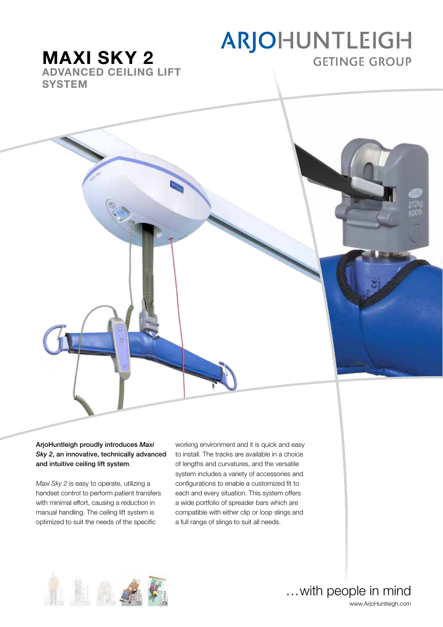# ARJOHUNTLEIGH **GETINGE GROUP**

MAXI SKY 2 ADVANCED CEILING LIFT **SYSTEM** 



*Maxi Sky 2* is easy to operate, utilizing a handset control to perform patient transfers with minimal effort, causing a reduction in manual handling. The ceiling lift system is optimized to suit the needs of the specific

working environment and it is quick and easy to install. The tracks are available in a choice of lengths and curvatures, and the versatile system includes a variety of accessories and configurations to enable a customized fit to each and every situation. This system offers a wide portfolio of spreader bars which are compatible with either clip or loop slings and a full range of slings to suit all needs.



…with people in mind www.ArjoHuntleigh.com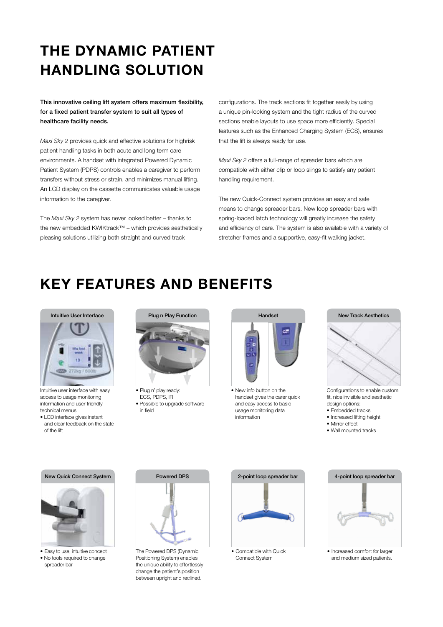# the dynamic patient handling solution

This innovative ceiling lift system offers maximum flexibility, for a fixed patient transfer system to suit all types of healthcare facility needs.

*Maxi Sky 2* provides quick and effective solutions for highrisk patient handling tasks in both acute and long term care environments. A handset with integrated Powered Dynamic Patient System (PDPS) controls enables a caregiver to perform transfers without stress or strain, and minimizes manual lifting. An LCD display on the cassette communicates valuable usage information to the caregiver.

The *Maxi Sky 2* system has never looked better – thanks to the new embedded KWIKtrack™ – which provides aesthetically pleasing solutions utilizing both straight and curved track

configurations. The track sections fit together easily by using a unique pin-locking system and the tight radius of the curved sections enable layouts to use space more efficiently. Special features such as the Enhanced Charging System (ECS), ensures that the lift is always ready for use.

*Maxi Sky 2* offers a full-range of spreader bars which are compatible with either clip or loop slings to satisfy any patient handling requirement.

The new Quick-Connect system provides an easy and safe means to change spreader bars. New loop spreader bars with spring-loaded latch technology will greatly increase the safety and efficiency of care. The system is also available with a variety of stretcher frames and a supportive, easy-fit walking jacket.

# KEY FEATURES and benefits



Intuitive user interface with easy access to usage monitoring information and user friendly technical menus.

• LCD interface gives instant and clear feedback on the state of the lift



• Plug n' play ready: ECS, PDPS, IR • Possible to upgrade software in field



• New info button on the handset gives the carer quick and easy access to basic usage monitoring data information



Configurations to enable custom fit, nice invisible and aesthetic design options:

- Embedded tracks
- Increased lifting height
- Mirror effect
- Wall mounted tracks

#### New Quick Connect System



• Easy to use, intuitive concept • No tools required to change spreader bar



The Powered DPS (Dynamic Positioning System) enables the unique ability to effortlessly change the patient's position between upright and reclined.



Connect System



• Increased comfort for larger and medium sized patients.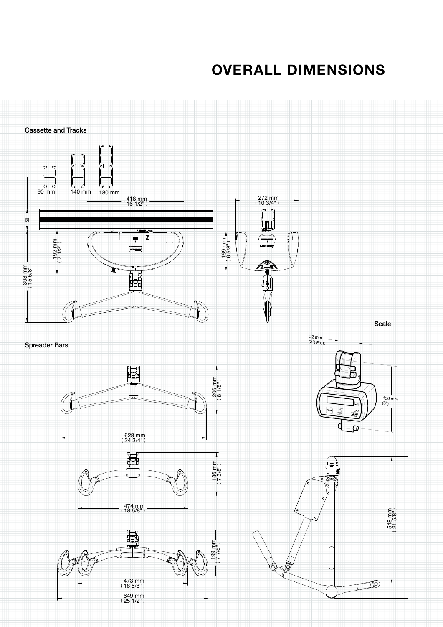# overall dimensions